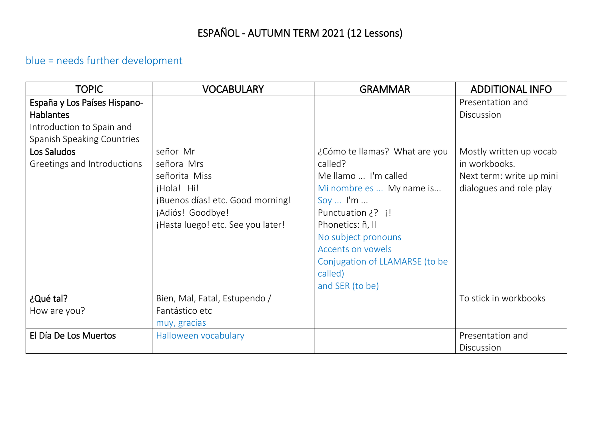# ESPAÑOL - AUTUMN TERM 2021 (12 Lessons)

## blue = needs further development

| <b>TOPIC</b>                      | <b>VOCABULARY</b>                 | <b>GRAMMAR</b>                 | <b>ADDITIONAL INFO</b>   |
|-----------------------------------|-----------------------------------|--------------------------------|--------------------------|
| España y Los Países Hispano-      |                                   |                                | Presentation and         |
| <b>Hablantes</b>                  |                                   |                                | Discussion               |
| Introduction to Spain and         |                                   |                                |                          |
| <b>Spanish Speaking Countries</b> |                                   |                                |                          |
| Los Saludos                       | señor Mr                          | ¿Cómo te llamas? What are you  | Mostly written up vocab  |
| Greetings and Introductions       | señora Mrs                        | called?                        | in workbooks.            |
|                                   | señorita Miss                     | Me llamo  I'm called           | Next term: write up mini |
|                                   | jHola! Hi!                        | Mi nombre es  My name is       | dialogues and role play  |
|                                   | ¡Buenos días! etc. Good morning!  | Soy $\ldots$ I'm $\ldots$      |                          |
|                                   | ¡Adiós! Goodbye!                  | Punctuation ¿? i!              |                          |
|                                   | ¡Hasta luego! etc. See you later! | Phonetics: ñ, ll               |                          |
|                                   |                                   | No subject pronouns            |                          |
|                                   |                                   | <b>Accents on vowels</b>       |                          |
|                                   |                                   | Conjugation of LLAMARSE (to be |                          |
|                                   |                                   | called)                        |                          |
|                                   |                                   | and SER (to be)                |                          |
| ¿Qué tal?                         | Bien, Mal, Fatal, Estupendo /     |                                | To stick in workbooks    |
| How are you?                      | Fantástico etc                    |                                |                          |
|                                   | muy, gracias                      |                                |                          |
| El Día De Los Muertos             | Halloween vocabulary              |                                | Presentation and         |
|                                   |                                   |                                | Discussion               |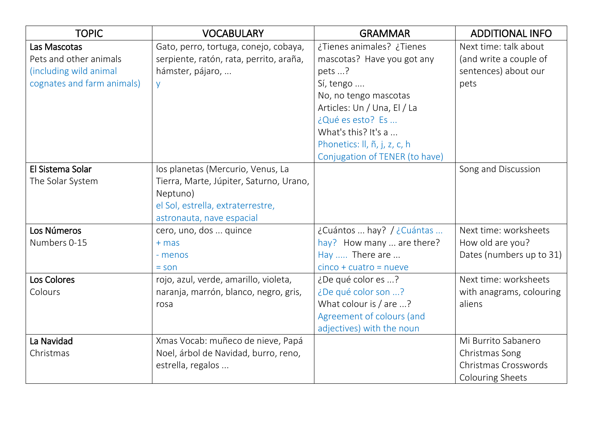| <b>TOPIC</b>               | <b>VOCABULARY</b>                       | <b>GRAMMAR</b>                 | <b>ADDITIONAL INFO</b>   |
|----------------------------|-----------------------------------------|--------------------------------|--------------------------|
| Las Mascotas               | Gato, perro, tortuga, conejo, cobaya,   | ¿Tienes animales? ¿Tienes      | Next time: talk about    |
| Pets and other animals     | serpiente, ratón, rata, perrito, araña, | mascotas? Have you got any     | (and write a couple of   |
| (including wild animal     | hámster, pájaro,                        | pets ?                         | sentences) about our     |
| cognates and farm animals) | y                                       | Sí, tengo                      | pets                     |
|                            |                                         | No, no tengo mascotas          |                          |
|                            |                                         | Articles: Un / Una, El / La    |                          |
|                            |                                         | ¿Qué es esto? Es               |                          |
|                            |                                         | What's this? It's a            |                          |
|                            |                                         | Phonetics: II, ñ, j, z, c, h   |                          |
|                            |                                         | Conjugation of TENER (to have) |                          |
| El Sistema Solar           | los planetas (Mercurio, Venus, La       |                                | Song and Discussion      |
| The Solar System           | Tierra, Marte, Júpiter, Saturno, Urano, |                                |                          |
|                            | Neptuno)                                |                                |                          |
|                            | el Sol, estrella, extraterrestre,       |                                |                          |
|                            | astronauta, nave espacial               |                                |                          |
| Los Números                | cero, uno, dos  quince                  | ¿Cuántos  hay? / ¿Cuántas      | Next time: worksheets    |
| Numbers 0-15               | $+ mas$                                 | hay? How many  are there?      | How old are you?         |
|                            | - menos                                 | Hay  There are                 | Dates (numbers up to 31) |
|                            | $=$ son                                 | $cinco + cuatro = nueve$       |                          |
| Los Colores                | rojo, azul, verde, amarillo, violeta,   | ¿De qué color es ?             | Next time: worksheets    |
| Colours                    | naranja, marrón, blanco, negro, gris,   | ¿De qué color son ?            | with anagrams, colouring |
|                            | rosa                                    | What colour is / are ?         | aliens                   |
|                            |                                         | Agreement of colours (and      |                          |
|                            |                                         | adjectives) with the noun      |                          |
| La Navidad                 | Xmas Vocab: muñeco de nieve, Papá       |                                | Mi Burrito Sabanero      |
| Christmas                  | Noel, árbol de Navidad, burro, reno,    |                                | Christmas Song           |
|                            | estrella, regalos                       |                                | Christmas Crosswords     |
|                            |                                         |                                | <b>Colouring Sheets</b>  |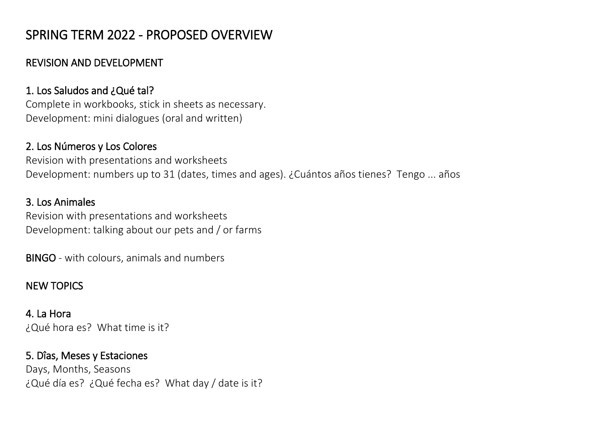## SPRING TERM 2022 - PROPOSED OVERVIEW

#### REVISION AND DEVELOPMENT

## 1. Los Saludos and ¿Qué tal?

Complete in workbooks, stick in sheets as necessary. Development: mini dialogues (oral and written)

#### 2. Los Números y Los Colores

Revision with presentations and worksheets Development: numbers up to 31 (dates, times and ages). ¿Cuántos años tienes? Tengo ... años

#### 3. Los Animales

Revision with presentations and worksheets Development: talking about our pets and / or farms

BINGO - with colours, animals and numbers

## NEW TOPICS

4. La Hora ¿Qué hora es? What time is it?

## 5. Dîas, Meses y Estaciones

Days, Months, Seasons ¿Qué día es? ¿Qué fecha es? What day / date is it?